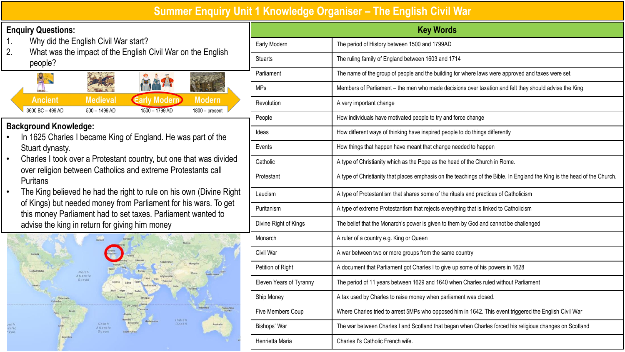## **Summer Enquiry Unit 1 Knowledge Organiser – The English Civil War**

## **Enquiry Questions:**

- Why did the English Civil War start?
- 2. What was the impact of the English Civil War on the English people?



## **Background Knowledge:**

- In 1625 Charles I became King of England. He was part of the Stuart dynasty.
- Charles I took over a Protestant country, but one that was divided over religion between Catholics and extreme Protestants call **Puritans**
- The King believed he had the right to rule on his own (Divine Right) of Kings) but needed money from Parliament for his wars. To get this money Parliament had to set taxes. Parliament wanted to advise the king in return for giving him money



| <b>Key Words</b>        |                                                                                                                           |  |
|-------------------------|---------------------------------------------------------------------------------------------------------------------------|--|
| Early Modern            | The period of History between 1500 and 1799AD                                                                             |  |
| <b>Stuarts</b>          | The ruling family of England between 1603 and 1714                                                                        |  |
| Parliament              | The name of the group of people and the building for where laws were approved and taxes were set.                         |  |
| <b>MPs</b>              | Members of Parliament - the men who made decisions over taxation and felt they should advise the King                     |  |
| Revolution              | A very important change                                                                                                   |  |
| People                  | How individuals have motivated people to try and force change                                                             |  |
| Ideas                   | How different ways of thinking have inspired people to do things differently                                              |  |
| Events                  | How things that happen have meant that change needed to happen                                                            |  |
| Catholic                | A type of Christianity which as the Pope as the head of the Church in Rome.                                               |  |
| Protestant              | A type of Christianity that places emphasis on the teachings of the Bible. In England the King is the head of the Church. |  |
| Laudism                 | A type of Protestantism that shares some of the rituals and practices of Catholicism                                      |  |
| Puritanism              | A type of extreme Protestantism that rejects everything that is linked to Catholicism                                     |  |
| Divine Right of Kings   | The belief that the Monarch's power is given to them by God and cannot be challenged                                      |  |
| Monarch                 | A ruler of a country e.g. King or Queen                                                                                   |  |
| Civil War               | A war between two or more groups from the same country                                                                    |  |
| Petition of Right       | A document that Parliament got Charles I to give up some of his powers in 1628                                            |  |
| Eleven Years of Tyranny | The period of 11 years between 1629 and 1640 when Charles ruled without Parliament                                        |  |
| Ship Money              | A tax used by Charles to raise money when parliament was closed.                                                          |  |
| Five Members Coup       | Where Charles tried to arrest 5MPs who opposed him in 1642. This event triggered the English Civil War                    |  |
| Bishops' War            | The war between Charles I and Scotland that began when Charles forced his religious changes on Scotland                   |  |
| Henrietta Maria         | Charles I's Catholic French wife.                                                                                         |  |